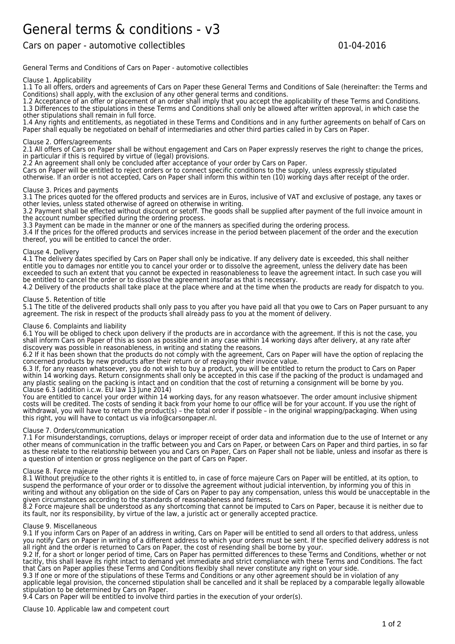# General terms & conditions - v3

Cars on paper - automotive collectibles and the collection of the collection of the collection of the collection of the collection of the collection of the collection of the collection of the collection of the collection o

General Terms and Conditions of Cars on Paper - automotive collectibles

# Clause 1. Applicability

1.1 To all offers, orders and agreements of Cars on Paper these General Terms and Conditions of Sale (hereinafter: the Terms and Conditions) shall apply, with the exclusion of any other general terms and conditions.

1.2 Acceptance of an offer or placement of an order shall imply that you accept the applicability of these Terms and Conditions. 1.3 Differences to the stipulations in these Terms and Conditions shall only be allowed after written approval, in which case the other stipulations shall remain in full force.

1.4 Any rights and entitlements, as negotiated in these Terms and Conditions and in any further agreements on behalf of Cars on Paper shall equally be negotiated on behalf of intermediaries and other third parties called in by Cars on Paper.

## Clause 2. Offers/agreements

2.1 All offers of Cars on Paper shall be without engagement and Cars on Paper expressly reserves the right to change the prices, in particular if this is required by virtue of (legal) provisions.

2.2 An agreement shall only be concluded after acceptance of your order by Cars on Paper.

Cars on Paper will be entitled to reject orders or to connect specific conditions to the supply, unless expressly stipulated

otherwise. If an order is not accepted, Cars on Paper shall inform this within ten (10) working days after receipt of the order.

### Clause 3. Prices and payments

3.1 The prices quoted for the offered products and services are in Euros, inclusive of VAT and exclusive of postage, any taxes or other levies, unless stated otherwise of agreed on otherwise in writing.

3.2 Payment shall be effected without discount or setoff. The goods shall be supplied after payment of the full invoice amount in the account number specified during the ordering process.

3.3 Payment can be made in the manner or one of the manners as specified during the ordering process.

3.4 If the prices for the offered products and services increase in the period between placement of the order and the execution thereof, you will be entitled to cancel the order.

#### Clause 4. Delivery

4.1 The delivery dates specified by Cars on Paper shall only be indicative. If any delivery date is exceeded, this shall neither entitle you to damages nor entitle you to cancel your order or to dissolve the agreement, unless the delivery date has been exceeded to such an extent that you cannot be expected in reasonableness to leave the agreement intact. In such case you will be entitled to cancel the order or to dissolve the agreement insofar as that is necessary.

4.2 Delivery of the products shall take place at the place where and at the time when the products are ready for dispatch to you.

### Clause 5. Retention of title

5.1 The title of the delivered products shall only pass to you after you have paid all that you owe to Cars on Paper pursuant to any agreement. The risk in respect of the products shall already pass to you at the moment of delivery.

# Clause 6. Complaints and liability

6.1 You will be obliged to check upon delivery if the products are in accordance with the agreement. If this is not the case, you shall inform Cars on Paper of this as soon as possible and in any case within 14 working days after delivery, at any rate after discovery was possible in reasonableness, in writing and stating the reasons.

6.2 If it has been shown that the products do not comply with the agreement, Cars on Paper will have the option of replacing the concerned products by new products after their return or of repaying their invoice value.

6.3 If, for any reason whatsoever, you do not wish to buy a product, you will be entitled to return the product to Cars on Paper within 14 working days. Return consignments shall only be accepted in this case if the packing of the product is undamaged and any plastic sealing on the packing is intact and on condition that the cost of returning a consignment will be borne by you. Clause 6.3 (addition i.c.w. EU law 13 June 2014)

You are entitled to cancel your order within 14 working days, for any reason whatsoever. The order amount inclusive shipment costs will be credited. The costs of sending it back from your home to our office will be for your account. If you use the right of withdrawal, you will have to return the product(s) – the total order if possible – in the original wrapping/packaging. When using this right, you will have to contact us via info@carsonpaper.nl.

#### Clause 7. Orders/communication

7.1 For misunderstandings, corruptions, delays or improper receipt of order data and information due to the use of Internet or any other means of communication in the traffic between you and Cars on Paper, or between Cars on Paper and third parties, in so far as these relate to the relationship between you and Cars on Paper, Cars on Paper shall not be liable, unless and insofar as there is a question of intention or gross negligence on the part of Cars on Paper.

#### Clause 8. Force majeure

8.1 Without prejudice to the other rights it is entitled to, in case of force majeure Cars on Paper will be entitled, at its option, to suspend the performance of your order or to dissolve the agreement without judicial intervention, by informing you of this in writing and without any obligation on the side of Cars on Paper to pay any compensation, unless this would be unacceptable in the given circumstances according to the standards of reasonableness and fairness.

8.2 Force majeure shall be understood as any shortcoming that cannot be imputed to Cars on Paper, because it is neither due to its fault, nor its responsibility, by virtue of the law, a juristic act or generally accepted practice.

#### Clause 9. Miscellaneous

9.1 If you inform Cars on Paper of an address in writing, Cars on Paper will be entitled to send all orders to that address, unless you notify Cars on Paper in writing of a different address to which your orders must be sent. If the specified delivery address is not all right and the order is returned to Cars on Paper, the cost of resending shall be borne by your.

9.2 If, for a short or longer period of time, Cars on Paper has permitted differences to these Terms and Conditions, whether or not tacitly, this shall leave its right intact to demand yet immediate and strict compliance with these Terms and Conditions. The fact that Cars on Paper applies these Terms and Conditions flexibly shall never constitute any right on your side.

9.3 If one or more of the stipulations of these Terms and Conditions or any other agreement should be in violation of any applicable legal provision, the concerned stipulation shall be cancelled and it shall be replaced by a comparable legally allowable stipulation to be determined by Cars on Paper.

9.4 Cars on Paper will be entitled to involve third parties in the execution of your order(s).

Clause 10. Applicable law and competent court